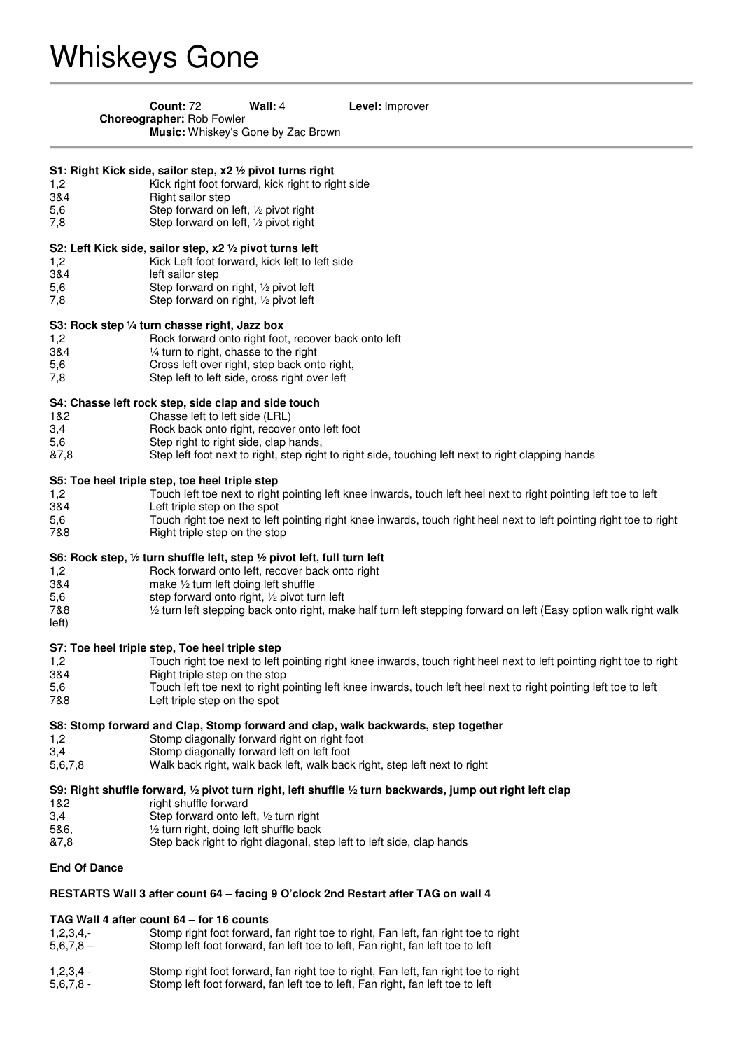## Whiskeys Gone

|                                                                                                                                            | <b>Count: 72</b><br>Wall: $4$<br>Level: Improver<br>Choreographer: Rob Fowler<br>Music: Whiskey's Gone by Zac Brown                                  |  |
|--------------------------------------------------------------------------------------------------------------------------------------------|------------------------------------------------------------------------------------------------------------------------------------------------------|--|
|                                                                                                                                            |                                                                                                                                                      |  |
| S1: Right Kick side, sailor step, x2 1/2 pivot turns right                                                                                 |                                                                                                                                                      |  |
| 1,2                                                                                                                                        | Kick right foot forward, kick right to right side                                                                                                    |  |
| 3&4                                                                                                                                        | Right sailor step                                                                                                                                    |  |
| 5,6                                                                                                                                        | Step forward on left, 1/2 pivot right                                                                                                                |  |
| 7,8                                                                                                                                        | Step forward on left, 1/2 pivot right                                                                                                                |  |
| S2: Left Kick side, sailor step, x2 1/2 pivot turns left                                                                                   |                                                                                                                                                      |  |
| 1,2                                                                                                                                        | Kick Left foot forward, kick left to left side                                                                                                       |  |
| 3&4                                                                                                                                        | left sailor step                                                                                                                                     |  |
| 5,6                                                                                                                                        | Step forward on right, 1/2 pivot left                                                                                                                |  |
| 7,8                                                                                                                                        | Step forward on right, 1/2 pivot left                                                                                                                |  |
| S3: Rock step 1/4 turn chasse right, Jazz box                                                                                              |                                                                                                                                                      |  |
| 1,2                                                                                                                                        | Rock forward onto right foot, recover back onto left                                                                                                 |  |
| 3&4                                                                                                                                        | 1/4 turn to right, chasse to the right                                                                                                               |  |
| 5,6                                                                                                                                        | Cross left over right, step back onto right,                                                                                                         |  |
| 7,8                                                                                                                                        | Step left to left side, cross right over left                                                                                                        |  |
| S4: Chasse left rock step, side clap and side touch                                                                                        |                                                                                                                                                      |  |
| 1&2                                                                                                                                        | Chasse left to left side (LRL)                                                                                                                       |  |
| 3,4                                                                                                                                        | Rock back onto right, recover onto left foot                                                                                                         |  |
| 5,6                                                                                                                                        | Step right to right side, clap hands,                                                                                                                |  |
| &7,8                                                                                                                                       | Step left foot next to right, step right to right side, touching left next to right clapping hands                                                   |  |
| S5: Toe heel triple step, toe heel triple step                                                                                             |                                                                                                                                                      |  |
| 1,2                                                                                                                                        | Touch left toe next to right pointing left knee inwards, touch left heel next to right pointing left toe to left                                     |  |
| 3&4                                                                                                                                        | Left triple step on the spot                                                                                                                         |  |
| 5,6<br>7&8                                                                                                                                 | Touch right toe next to left pointing right knee inwards, touch right heel next to left pointing right toe to right<br>Right triple step on the stop |  |
| S6: Rock step, 1/2 turn shuffle left, step 1/2 pivot left, full turn left                                                                  |                                                                                                                                                      |  |
| 1,2                                                                                                                                        | Rock forward onto left, recover back onto right                                                                                                      |  |
| 3&4                                                                                                                                        | make 1/2 turn left doing left shuffle                                                                                                                |  |
| 5,6                                                                                                                                        | step forward onto right, 1/2 pivot turn left                                                                                                         |  |
| 7&8                                                                                                                                        | 1/2 turn left stepping back onto right, make half turn left stepping forward on left (Easy option walk right walk                                    |  |
| left)                                                                                                                                      |                                                                                                                                                      |  |
|                                                                                                                                            | S7: Toe heel triple step, Toe heel triple step                                                                                                       |  |
| 1,2                                                                                                                                        | Touch right toe next to left pointing right knee inwards, touch right heel next to left pointing right toe to right                                  |  |
| 3&4                                                                                                                                        | Right triple step on the stop                                                                                                                        |  |
| 5,6<br>7&8                                                                                                                                 | Touch left toe next to right pointing left knee inwards, touch left heel next to right pointing left toe to left<br>Left triple step on the spot     |  |
|                                                                                                                                            |                                                                                                                                                      |  |
|                                                                                                                                            | S8: Stomp forward and Clap, Stomp forward and clap, walk backwards, step together                                                                    |  |
| 1,2                                                                                                                                        | Stomp diagonally forward right on right foot                                                                                                         |  |
| 3,4                                                                                                                                        | Stomp diagonally forward left on left foot                                                                                                           |  |
| 5,6,7,8                                                                                                                                    | Walk back right, walk back left, walk back right, step left next to right                                                                            |  |
| S9: Right shuffle forward, 1/2 pivot turn right, left shuffle 1/2 turn backwards, jump out right left clap<br>1&2<br>right shuffle forward |                                                                                                                                                      |  |
| 3,4                                                                                                                                        | Step forward onto left, 1/2 turn right                                                                                                               |  |
| 5&6,                                                                                                                                       | 1/2 turn right, doing left shuffle back                                                                                                              |  |
| &7,8                                                                                                                                       | Step back right to right diagonal, step left to left side, clap hands                                                                                |  |
| <b>End Of Dance</b>                                                                                                                        |                                                                                                                                                      |  |
| RESTARTS Wall 3 after count 64 - facing 9 O'clock 2nd Restart after TAG on wall 4                                                          |                                                                                                                                                      |  |
| TAG Wall 4 after count 64 - for 16 counts                                                                                                  |                                                                                                                                                      |  |

| $1, 2, 3, 4, -$ | Stomp right foot forward, fan right toe to right, Fan left, fan right toe to right |
|-----------------|------------------------------------------------------------------------------------|
| 5,6,7,8 —       | Stomp left foot forward, fan left toe to left, Fan right, fan left toe to left     |

1,2,3,4 - Stomp right foot forward, fan right toe to right, Fan left, fan right toe to right 5,6,7,8 - Stomp left foot forward, fan left toe to left, Fan right, fan left toe to left